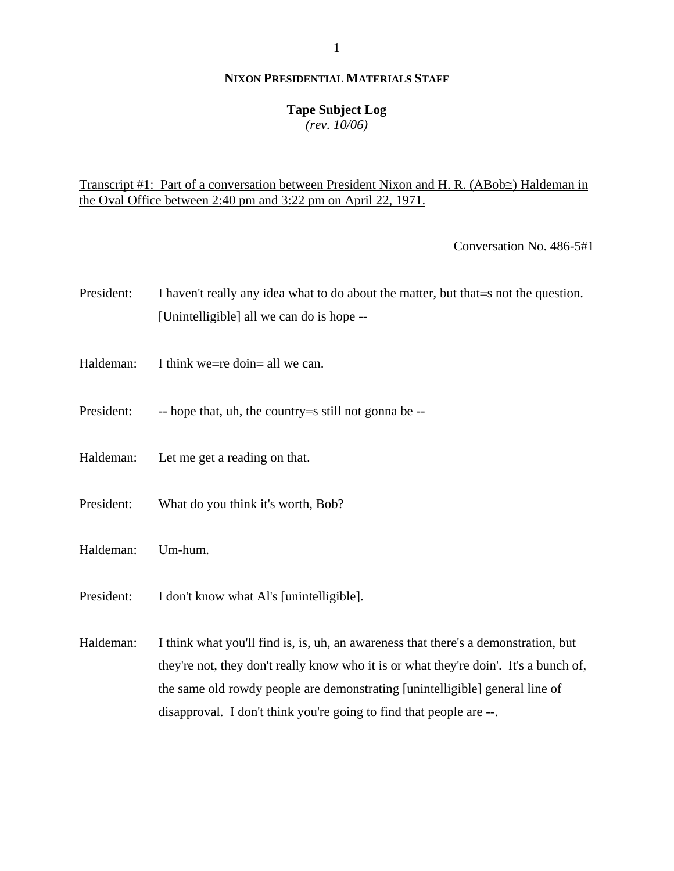## **Tape Subject Log**

*(rev. 10/06)*

Transcript #1: Part of a conversation between President Nixon and H. R. (ΑBob≅) Haldeman in the Oval Office between 2:40 pm and 3:22 pm on April 22, 1971.

Conversation No. 486-5#1

- President: I haven't really any idea what to do about the matter, but that = s not the question. [Unintelligible] all we can do is hope --
- Haldeman: I think we=re doin= all we can.
- President: -- hope that, uh, the country = still not gonna be --
- Haldeman: Let me get a reading on that.
- President: What do you think it's worth, Bob?
- Haldeman: Um-hum.
- President: I don't know what Al's [unintelligible].

Haldeman: I think what you'll find is, is, uh, an awareness that there's a demonstration, but they're not, they don't really know who it is or what they're doin'. It's a bunch of, the same old rowdy people are demonstrating [unintelligible] general line of disapproval. I don't think you're going to find that people are --.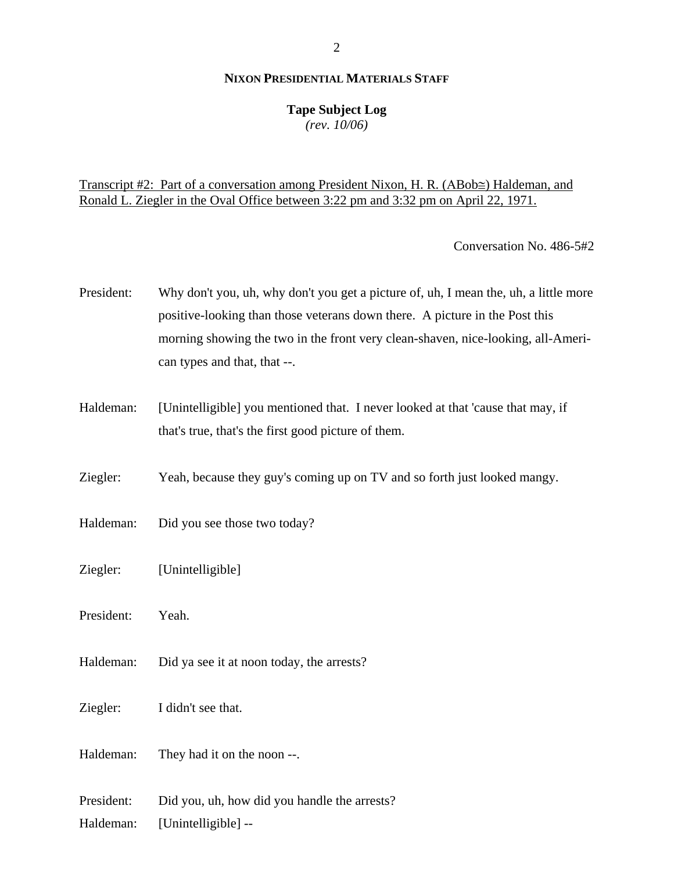#### **Tape Subject Log**

*(rev. 10/06)*

## Transcript #2: Part of a conversation among President Nixon, H. R. (ΑBob≅) Haldeman, and Ronald L. Ziegler in the Oval Office between 3:22 pm and 3:32 pm on April 22, 1971.

Conversation No. 486-5#2

- President: Why don't you, uh, why don't you get a picture of, uh, I mean the, uh, a little more positive-looking than those veterans down there. A picture in the Post this morning showing the two in the front very clean-shaven, nice-looking, all-American types and that, that --.
- Haldeman: [Unintelligible] you mentioned that. I never looked at that 'cause that may, if that's true, that's the first good picture of them.
- Ziegler: Yeah, because they guy's coming up on TV and so forth just looked mangy.
- Haldeman: Did you see those two today?
- Ziegler: [Unintelligible]
- President: Yeah.
- Haldeman: Did ya see it at noon today, the arrests?
- Ziegler: I didn't see that.
- Haldeman: They had it on the noon --.
- President: Did you, uh, how did you handle the arrests?
- Haldeman: [Unintelligible] --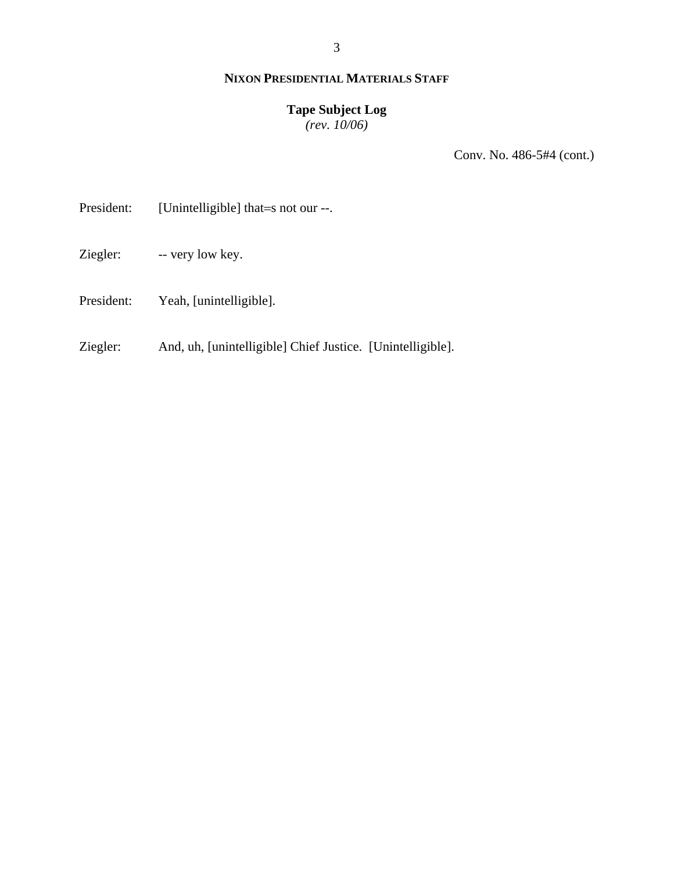## **Tape Subject Log**

*(rev. 10/06)*

Conv. No. 486-5#4 (cont.)

President: [Unintelligible] that=s not our --.

- Ziegler: -- very low key.
- President: Yeah, [unintelligible].
- Ziegler: And, uh, [unintelligible] Chief Justice. [Unintelligible].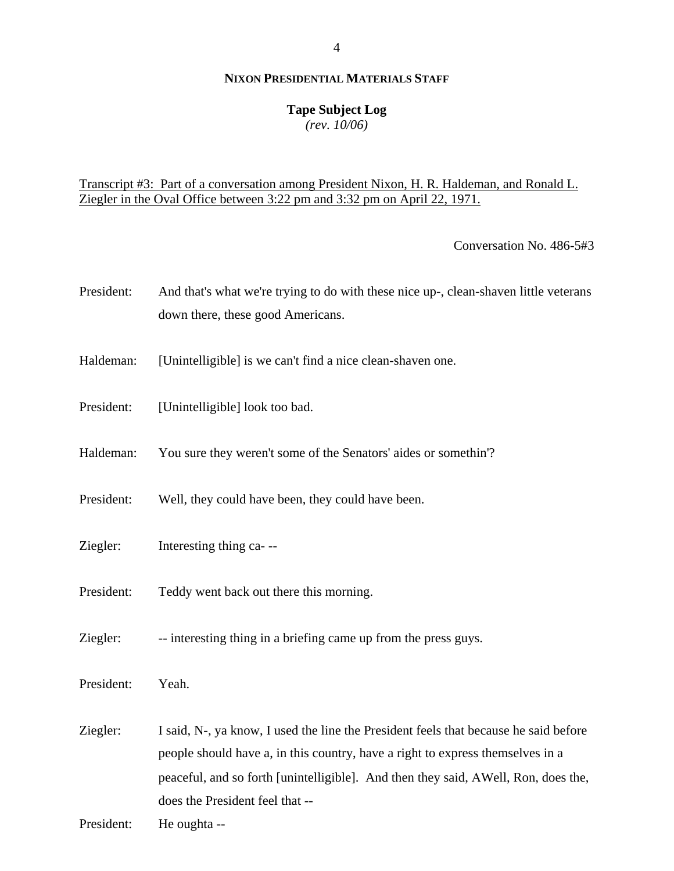## **Tape Subject Log**

*(rev. 10/06)*

## Transcript #3: Part of a conversation among President Nixon, H. R. Haldeman, and Ronald L. Ziegler in the Oval Office between 3:22 pm and 3:32 pm on April 22, 1971.

Conversation No. 486-5#3

- President: And that's what we're trying to do with these nice up-, clean-shaven little veterans down there, these good Americans.
- Haldeman: [Unintelligible] is we can't find a nice clean-shaven one.
- President: [Unintelligible] look too bad.
- Haldeman: You sure they weren't some of the Senators' aides or somethin'?
- President: Well, they could have been, they could have been.
- Ziegler: Interesting thing ca- --
- President: Teddy went back out there this morning.
- Ziegler: -- interesting thing in a briefing came up from the press guys.

President: Yeah.

Ziegler: I said, N-, ya know, I used the line the President feels that because he said before people should have a, in this country, have a right to express themselves in a peaceful, and so forth [unintelligible]. And then they said, ΑWell, Ron, does the, does the President feel that --

President: He oughta --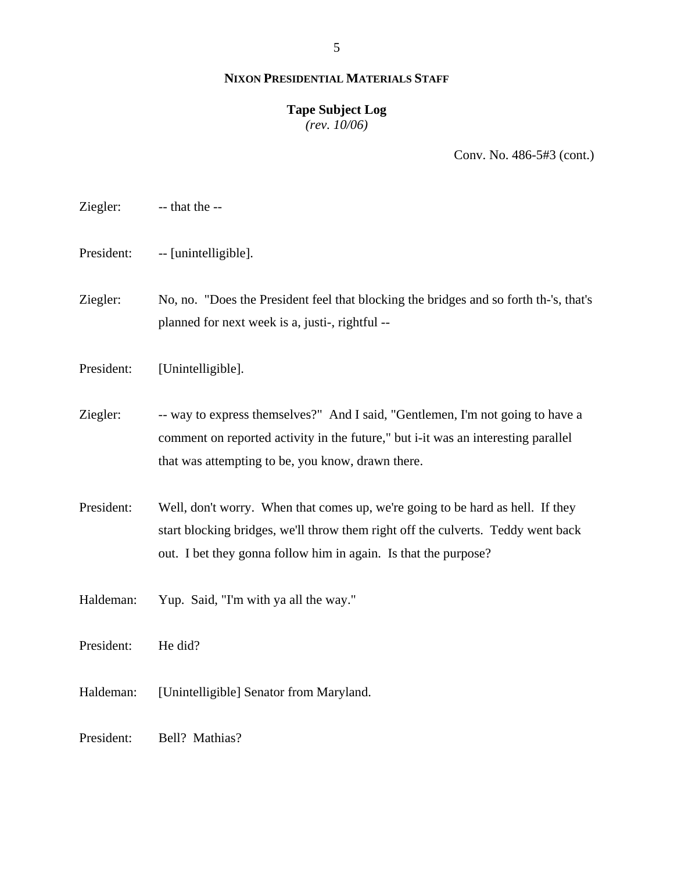#### **Tape Subject Log** *(rev. 10/06)*

Conv. No. 486-5#3 (cont.)

Ziegler: -- that the --

President: -- [unintelligible].

Ziegler: No, no. "Does the President feel that blocking the bridges and so forth th-'s, that's planned for next week is a, justi-, rightful --

President: [Unintelligible].

Ziegler: -- way to express themselves?" And I said, "Gentlemen, I'm not going to have a comment on reported activity in the future," but i-it was an interesting parallel that was attempting to be, you know, drawn there.

President: Well, don't worry. When that comes up, we're going to be hard as hell. If they start blocking bridges, we'll throw them right off the culverts. Teddy went back out. I bet they gonna follow him in again. Is that the purpose?

Haldeman: Yup. Said, "I'm with ya all the way."

President: He did?

Haldeman: [Unintelligible] Senator from Maryland.

President: Bell? Mathias?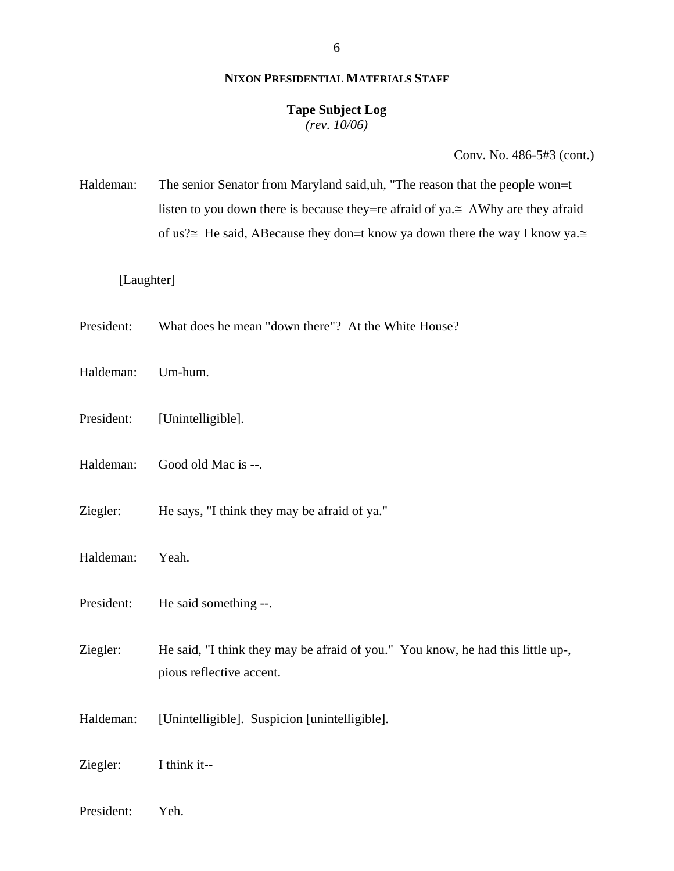# **Tape Subject Log**

*(rev. 10/06)*

Conv. No. 486-5#3 (cont.)

Haldeman: The senior Senator from Maryland said, uh, "The reason that the people won=t listen to you down there is because they=re afraid of ya.≅ ΑWhy are they afraid of us?≅ He said, ABecause they don=t know ya down there the way I know ya.≅

## [Laughter]

- President: What does he mean "down there"? At the White House?
- Haldeman: Um-hum.
- President: [Unintelligible].
- Haldeman: Good old Mac is --.
- Ziegler: He says, "I think they may be afraid of ya."
- Haldeman: Yeah.
- President: He said something --.
- Ziegler: He said, "I think they may be afraid of you." You know, he had this little up-, pious reflective accent.
- Haldeman: [Unintelligible]. Suspicion [unintelligible].

Ziegler: I think it--

President: Yeh.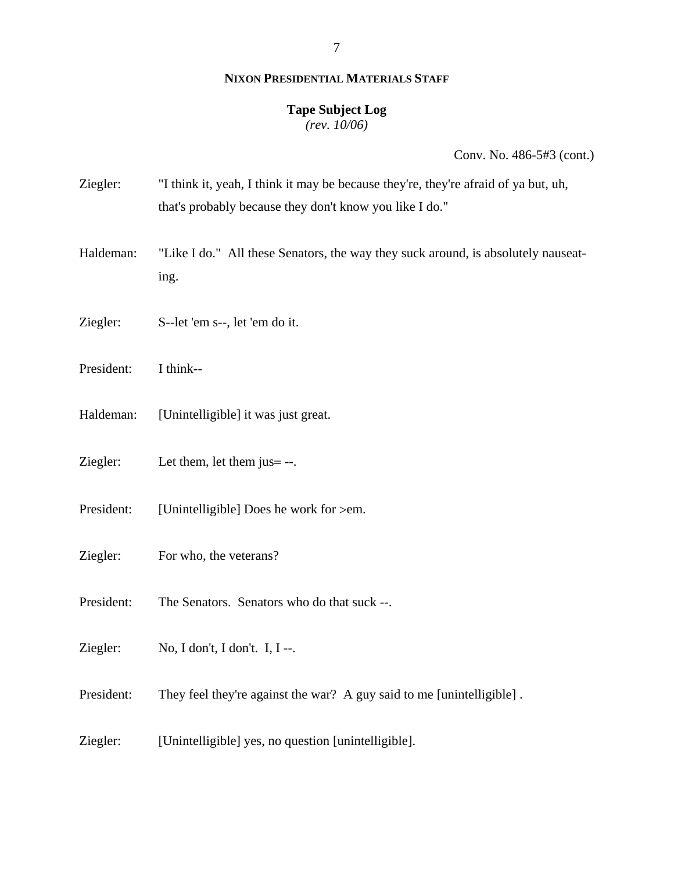#### **Tape Subject Log**

*(rev. 10/06)*

| Ziegler:   | "I think it, yeah, I think it may be because they're, they're afraid of ya but, uh,<br>that's probably because they don't know you like I do." |
|------------|------------------------------------------------------------------------------------------------------------------------------------------------|
| Haldeman:  | "Like I do." All these Senators, the way they suck around, is absolutely nauseat-<br>ing.                                                      |
| Ziegler:   | S--let 'em s--, let 'em do it.                                                                                                                 |
| President: | I think--                                                                                                                                      |
| Haldeman:  | [Unintelligible] it was just great.                                                                                                            |
| Ziegler:   | Let them, let them $j$ us $=$ --.                                                                                                              |
| President: | [Unintelligible] Does he work for >em.                                                                                                         |
| Ziegler:   | For who, the veterans?                                                                                                                         |
| President: | The Senators. Senators who do that suck --.                                                                                                    |
| Ziegler:   | No, I don't, I don't. I, I --.                                                                                                                 |
| President: | They feel they're against the war? A guy said to me [unintelligible].                                                                          |
| Ziegler:   | [Unintelligible] yes, no question [unintelligible].                                                                                            |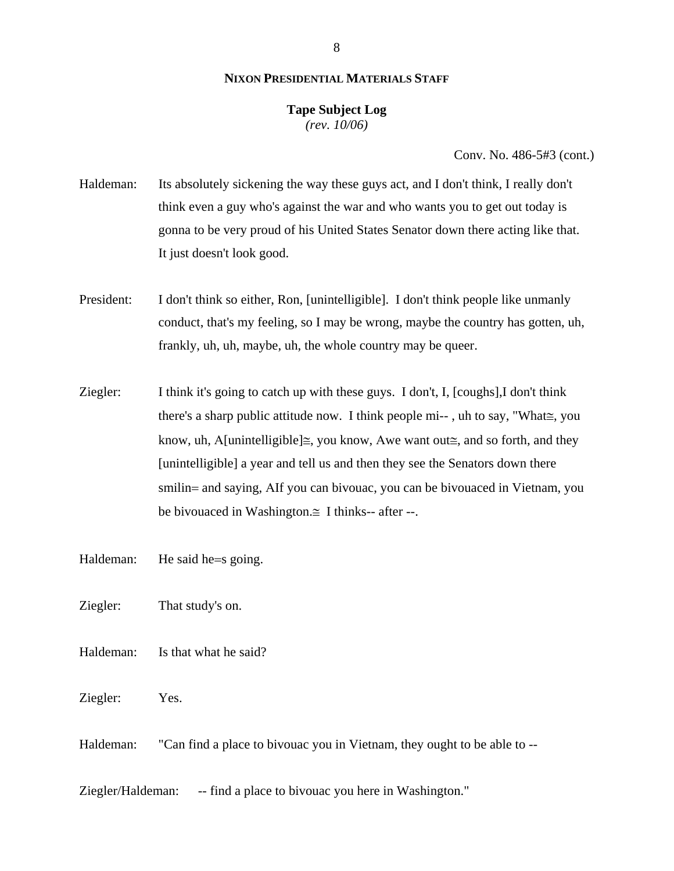#### **Tape Subject Log** *(rev. 10/06)*

Conv. No. 486-5#3 (cont.)

- Haldeman: Its absolutely sickening the way these guys act, and I don't think, I really don't think even a guy who's against the war and who wants you to get out today is gonna to be very proud of his United States Senator down there acting like that. It just doesn't look good.
- President: I don't think so either, Ron, [unintelligible]. I don't think people like unmanly conduct, that's my feeling, so I may be wrong, maybe the country has gotten, uh, frankly, uh, uh, maybe, uh, the whole country may be queer.
- Ziegler: I think it's going to catch up with these guys. I don't, I, [coughs],I don't think there's a sharp public attitude now. I think people mi-- , uh to say, "What≅, you know, uh, A[unintelligible] $\cong$ , you know, Awe want out $\cong$ , and so forth, and they [unintelligible] a year and tell us and then they see the Senators down there smilin= and saying, ΑIf you can bivouac, you can be bivouaced in Vietnam, you be bivouaced in Washington. $\cong$  I thinks-- after --.
- Haldeman: He said he=s going.
- Ziegler: That study's on.
- Haldeman: Is that what he said?
- Ziegler: Yes.
- Haldeman: "Can find a place to bivouac you in Vietnam, they ought to be able to --

Ziegler/Haldeman: -- find a place to bivouac you here in Washington."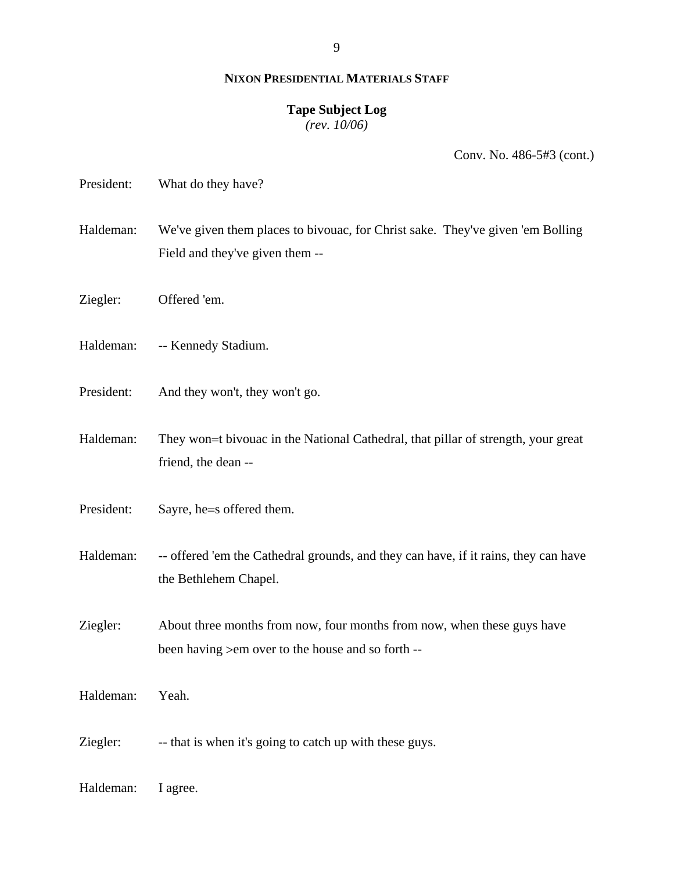#### **Tape Subject Log**

*(rev. 10/06)*

| President: | What do they have?                                                                                                            |
|------------|-------------------------------------------------------------------------------------------------------------------------------|
| Haldeman:  | We've given them places to bivouac, for Christ sake. They've given 'em Bolling'<br>Field and they've given them --            |
| Ziegler:   | Offered 'em.                                                                                                                  |
| Haldeman:  | -- Kennedy Stadium.                                                                                                           |
| President: | And they won't, they won't go.                                                                                                |
| Haldeman:  | They won=t bivouac in the National Cathedral, that pillar of strength, your great<br>friend, the dean --                      |
| President: | Sayre, he=s offered them.                                                                                                     |
| Haldeman:  | -- offered 'em the Cathedral grounds, and they can have, if it rains, they can have<br>the Bethlehem Chapel.                  |
| Ziegler:   | About three months from now, four months from now, when these guys have<br>been having > em over to the house and so forth -- |
| Haldeman:  | Yeah.                                                                                                                         |
| Ziegler:   | -- that is when it's going to catch up with these guys.                                                                       |
| Haldeman:  | I agree.                                                                                                                      |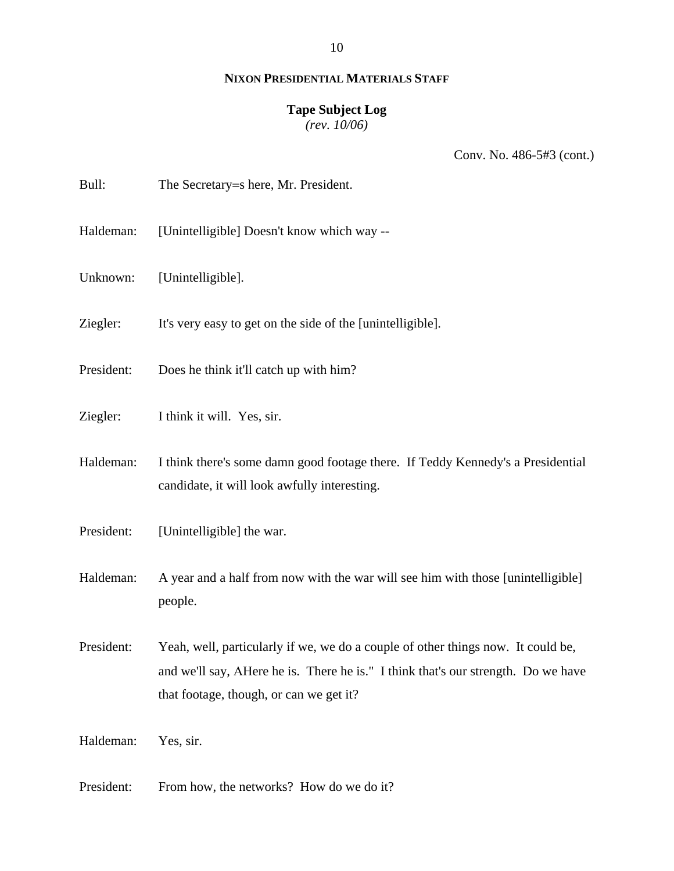10

## **NIXON PRESIDENTIAL MATERIALS STAFF**

## **Tape Subject Log**

*(rev. 10/06)*

| Bull:      | The Secretary=s here, Mr. President.                                                                                                                                                                             |
|------------|------------------------------------------------------------------------------------------------------------------------------------------------------------------------------------------------------------------|
| Haldeman:  | [Unintelligible] Doesn't know which way --                                                                                                                                                                       |
| Unknown:   | [Unintelligible].                                                                                                                                                                                                |
| Ziegler:   | It's very easy to get on the side of the [unintelligible].                                                                                                                                                       |
| President: | Does he think it'll catch up with him?                                                                                                                                                                           |
| Ziegler:   | I think it will. Yes, sir.                                                                                                                                                                                       |
| Haldeman:  | I think there's some damn good footage there. If Teddy Kennedy's a Presidential<br>candidate, it will look awfully interesting.                                                                                  |
| President: | [Unintelligible] the war.                                                                                                                                                                                        |
| Haldeman:  | A year and a half from now with the war will see him with those [unintelligible]<br>people.                                                                                                                      |
| President: | Yeah, well, particularly if we, we do a couple of other things now. It could be,<br>and we'll say, AHere he is. There he is." I think that's our strength. Do we have<br>that footage, though, or can we get it? |
| Haldeman:  | Yes, sir.                                                                                                                                                                                                        |
| President: | From how, the networks? How do we do it?                                                                                                                                                                         |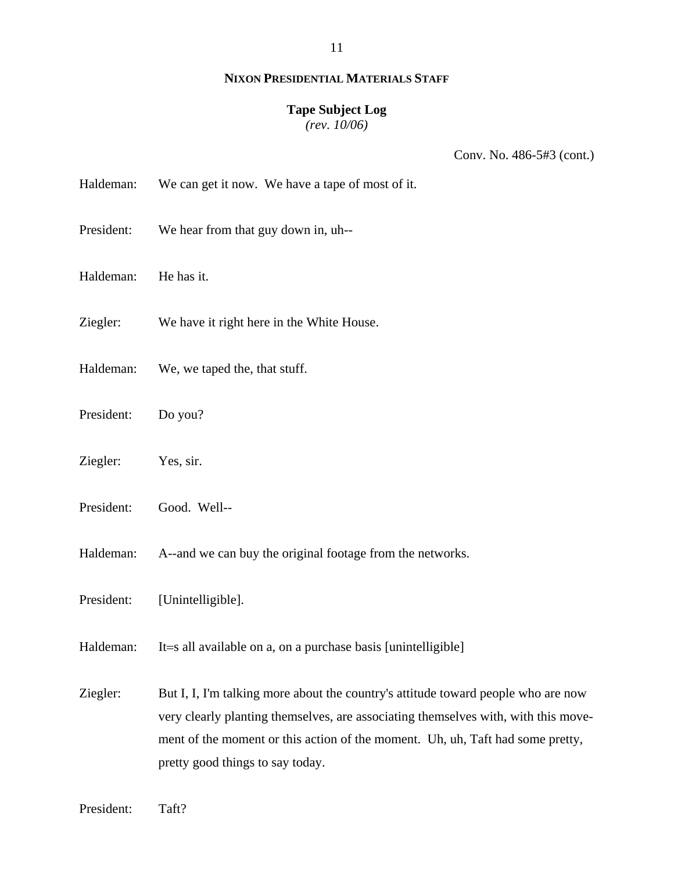### **Tape Subject Log**

*(rev. 10/06)*

| Haldeman: | We can get it now. We have a tape of most of it. |  |  |
|-----------|--------------------------------------------------|--|--|
|-----------|--------------------------------------------------|--|--|

- President: We hear from that guy down in, uh--
- Haldeman: He has it.
- Ziegler: We have it right here in the White House.
- Haldeman: We, we taped the, that stuff.
- President: Do you?
- Ziegler: Yes, sir.
- President: Good. Well--
- Haldeman: A--and we can buy the original footage from the networks.
- President: [Unintelligible].
- Haldeman: It=s all available on a, on a purchase basis [unintelligible]
- Ziegler: But I, I, I'm talking more about the country's attitude toward people who are now very clearly planting themselves, are associating themselves with, with this movement of the moment or this action of the moment. Uh, uh, Taft had some pretty, pretty good things to say today.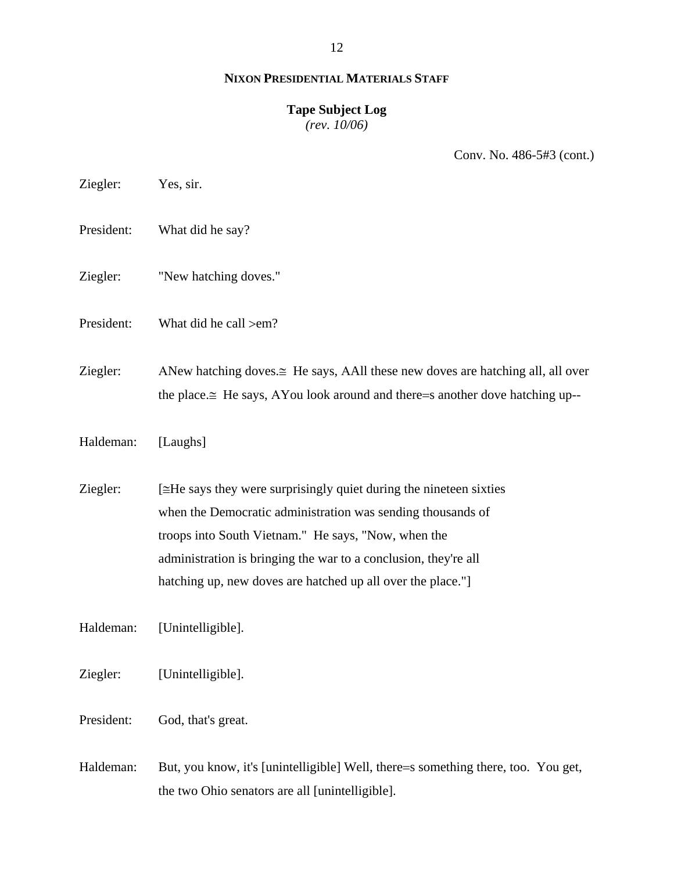12

## **NIXON PRESIDENTIAL MATERIALS STAFF**

## **Tape Subject Log**

*(rev. 10/06)*

Conv. No. 486-5#3 (cont.)

- Ziegler: Yes, sir.
- President: What did he say?
- Ziegler: "New hatching doves."
- President: What did he call >em?

Ziegler: ANew hatching doves. $\cong$  He says, AAll these new doves are hatching all, all over the place.≅ He says, ΑYou look around and there=s another dove hatching up--

Haldeman: [Laughs]

 $Ziegler:$  [≅He says they were surprisingly quiet during the nineteen sixties when the Democratic administration was sending thousands of troops into South Vietnam." He says, "Now, when the administration is bringing the war to a conclusion, they're all hatching up, new doves are hatched up all over the place."

Haldeman: [Unintelligible].

Ziegler: [Unintelligible].

President: God, that's great.

Haldeman: But, you know, it's [unintelligible] Well, there=s something there, too. You get, the two Ohio senators are all [unintelligible].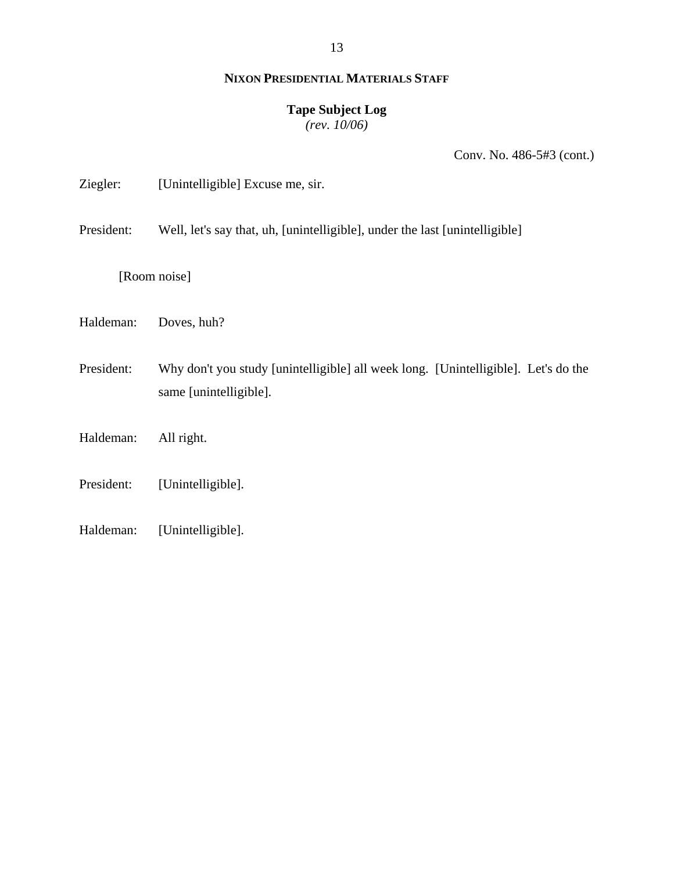13

## **NIXON PRESIDENTIAL MATERIALS STAFF**

## **Tape Subject Log**

*(rev. 10/06)*

Conv. No. 486-5#3 (cont.)

| Ziegler: | [Unintelligible] Excuse me, sir. |  |
|----------|----------------------------------|--|
|          |                                  |  |

President: Well, let's say that, uh, [unintelligible], under the last [unintelligible]

[Room noise]

Haldeman: Doves, huh?

President: Why don't you study [unintelligible] all week long. [Unintelligible]. Let's do the same [unintelligible].

Haldeman: All right.

President: [Unintelligible].

Haldeman: [Unintelligible].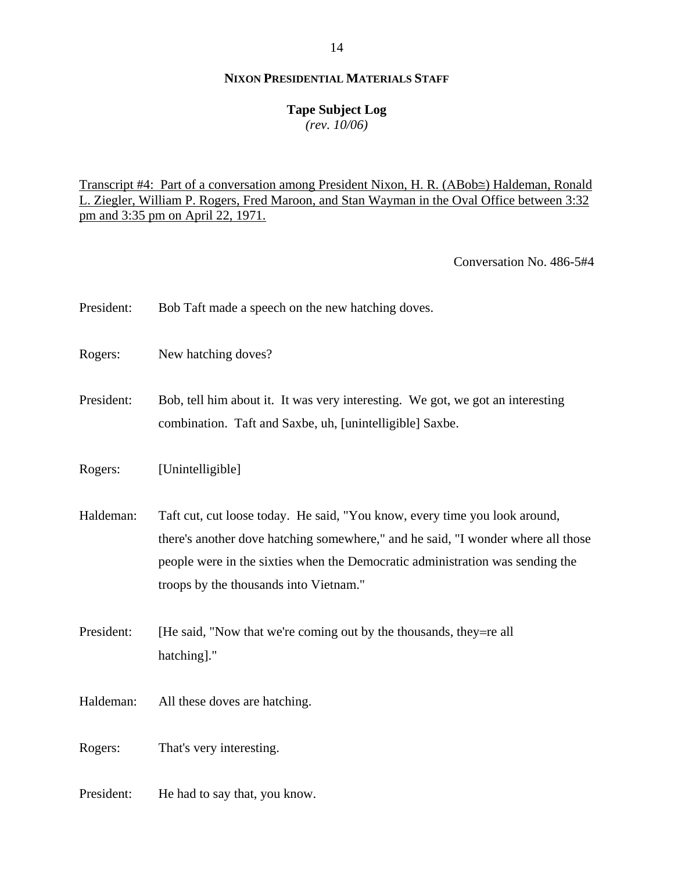## **Tape Subject Log**

*(rev. 10/06)*

Transcript #4: Part of a conversation among President Nixon, H. R. (ΑBob≅) Haldeman, Ronald L. Ziegler, William P. Rogers, Fred Maroon, and Stan Wayman in the Oval Office between 3:32 pm and 3:35 pm on April 22, 1971.

Conversation No. 486-5#4

| President: | Bob Taft made a speech on the new hatching doves.                                                                                                                                                                                                                                         |
|------------|-------------------------------------------------------------------------------------------------------------------------------------------------------------------------------------------------------------------------------------------------------------------------------------------|
| Rogers:    | New hatching doves?                                                                                                                                                                                                                                                                       |
| President: | Bob, tell him about it. It was very interesting. We got, we got an interesting<br>combination. Taft and Saxbe, uh, [unintelligible] Saxbe.                                                                                                                                                |
| Rogers:    | [Unintelligible]                                                                                                                                                                                                                                                                          |
| Haldeman:  | Taft cut, cut loose today. He said, "You know, every time you look around,<br>there's another dove hatching somewhere," and he said, "I wonder where all those<br>people were in the sixties when the Democratic administration was sending the<br>troops by the thousands into Vietnam." |
| President: | [He said, "Now that we're coming out by the thousands, they=re all<br>hatching]."                                                                                                                                                                                                         |
| Haldeman:  | All these doves are hatching.                                                                                                                                                                                                                                                             |
| Rogers:    | That's very interesting.                                                                                                                                                                                                                                                                  |

President: He had to say that, you know.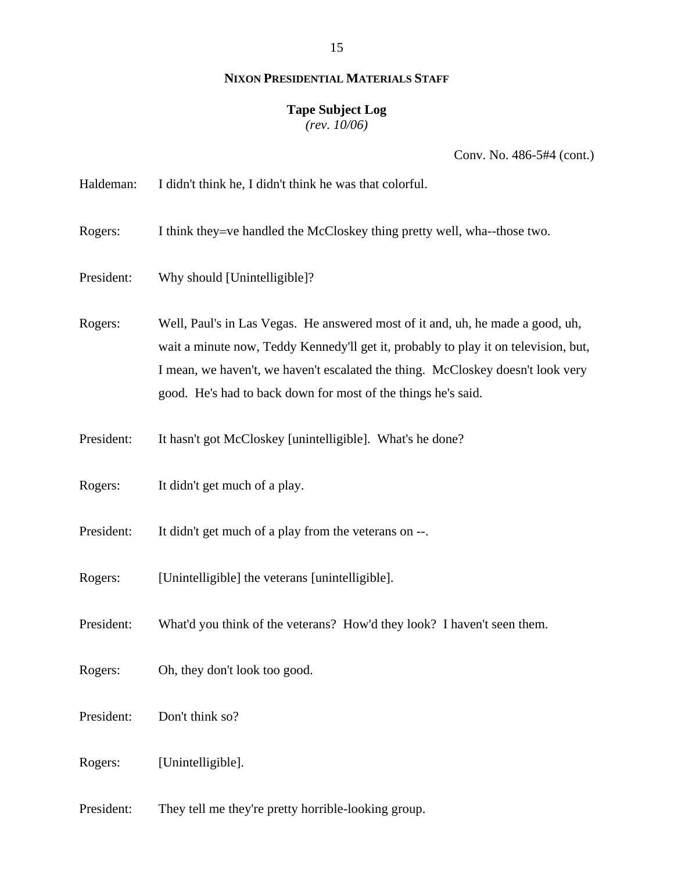# **Tape Subject Log**

*(rev. 10/06)*

Conv. No. 486-5#4 (cont.)

| Haldeman:  | I didn't think he, I didn't think he was that colorful.                                                                                                                                                                                                                                                                   |
|------------|---------------------------------------------------------------------------------------------------------------------------------------------------------------------------------------------------------------------------------------------------------------------------------------------------------------------------|
| Rogers:    | I think they=ve handled the McCloskey thing pretty well, wha--those two.                                                                                                                                                                                                                                                  |
| President: | Why should [Unintelligible]?                                                                                                                                                                                                                                                                                              |
| Rogers:    | Well, Paul's in Las Vegas. He answered most of it and, uh, he made a good, uh,<br>wait a minute now, Teddy Kennedy'll get it, probably to play it on television, but,<br>I mean, we haven't, we haven't escalated the thing. McCloskey doesn't look very<br>good. He's had to back down for most of the things he's said. |
| President: | It hasn't got McCloskey [unintelligible]. What's he done?                                                                                                                                                                                                                                                                 |
| Rogers:    | It didn't get much of a play.                                                                                                                                                                                                                                                                                             |
| President: | It didn't get much of a play from the veterans on --.                                                                                                                                                                                                                                                                     |
| Rogers:    | [Unintelligible] the veterans [unintelligible].                                                                                                                                                                                                                                                                           |
| President: | What'd you think of the veterans? How'd they look? I haven't seen them.                                                                                                                                                                                                                                                   |
| Rogers:    | Oh, they don't look too good.                                                                                                                                                                                                                                                                                             |
| President: | Don't think so?                                                                                                                                                                                                                                                                                                           |
| Rogers:    | [Unintelligible].                                                                                                                                                                                                                                                                                                         |

President: They tell me they're pretty horrible-looking group.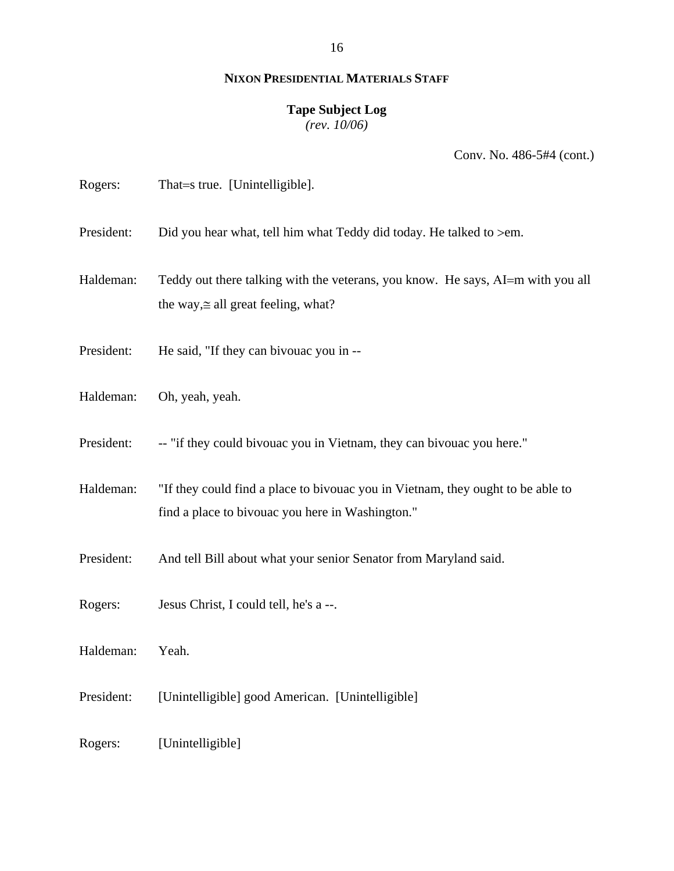#### **Tape Subject Log**

*(rev. 10/06)*

| Rogers:    | That=s true. [Unintelligible].                                                                                                      |
|------------|-------------------------------------------------------------------------------------------------------------------------------------|
| President: | Did you hear what, tell him what Teddy did today. He talked to >em.                                                                 |
| Haldeman:  | Teddy out there talking with the veterans, you know. He says, AI=m with you all<br>the way, $\cong$ all great feeling, what?        |
| President: | He said, "If they can bivouac you in --                                                                                             |
| Haldeman:  | Oh, yeah, yeah.                                                                                                                     |
| President: | -- "if they could bivouac you in Vietnam, they can bivouac you here."                                                               |
| Haldeman:  | "If they could find a place to bivouac you in Vietnam, they ought to be able to<br>find a place to bivouac you here in Washington." |
| President: | And tell Bill about what your senior Senator from Maryland said.                                                                    |
| Rogers:    | Jesus Christ, I could tell, he's a --.                                                                                              |
| Haldeman:  | Yeah.                                                                                                                               |
| President: | [Unintelligible] good American. [Unintelligible]                                                                                    |
| Rogers:    | [Unintelligible]                                                                                                                    |